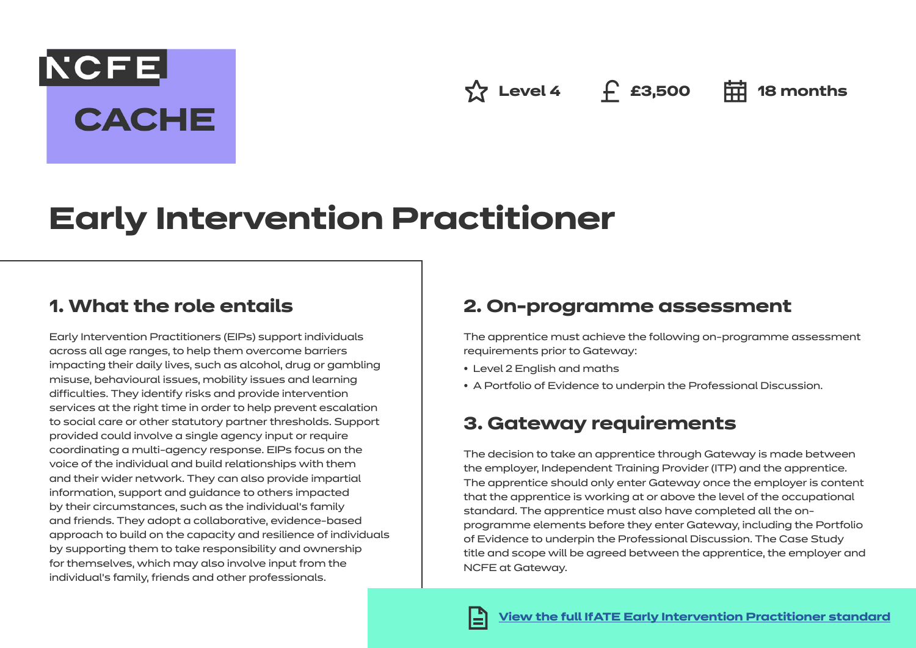**Level 4 £3,500 18 months**

# **Early Intervention Practitioner**

## **1. What the role entails**

NCFE.

**CACHE** 

Early Intervention Practitioners (EIPs) support individuals across all age ranges, to help them overcome barriers impacting their daily lives, such as alcohol, drug or gambling misuse, behavioural issues, mobility issues and learning difficulties. They identify risks and provide intervention services at the right time in order to help prevent escalation to social care or other statutory partner thresholds. Support provided could involve a single agency input or require coordinating a multi-agency response. EIPs focus on the voice of the individual and build relationships with them and their wider network. They can also provide impartial information, support and guidance to others impacted by their circumstances, such as the individual's family and friends. They adopt a collaborative, evidence-based approach to build on the capacity and resilience of individuals by supporting them to take responsibility and ownership for themselves, which may also involve input from the individual's family, friends and other professionals.

### **2. On-programme assessment**

The apprentice must achieve the following on-programme assessment requirements prior to Gateway:

- Level 2 English and maths
- A Portfolio of Evidence to underpin the Professional Discussion.

# **3. Gateway requirements**

The decision to take an apprentice through Gateway is made between the employer, Independent Training Provider (ITP) and the apprentice. The apprentice should only enter Gateway once the employer is content that the apprentice is working at or above the level of the occupational standard. The apprentice must also have completed all the onprogramme elements before they enter Gateway, including the Portfolio of Evidence to underpin the Professional Discussion. The Case Study title and scope will be agreed between the apprentice, the employer and NCFE at Gateway.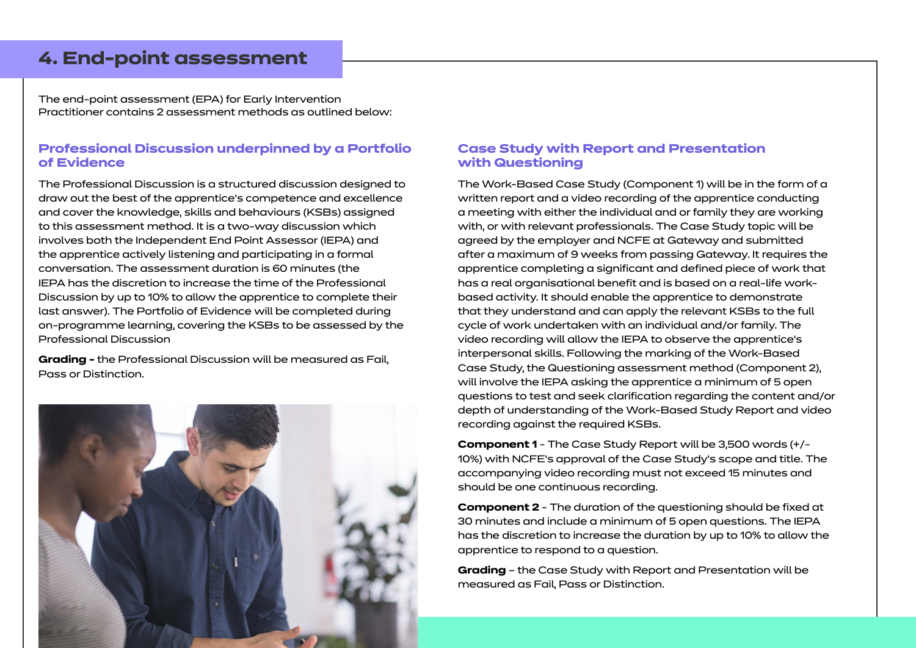### **4. End-point assessment**

The end-point assessment (EPA) for Early Intervention Practitioner contains 2 assessment methods as outlined below:

#### **Professional Discussion underpinned by a Portfolio of Evidence**

The Professional Discussion is a structured discussion designed to draw out the best of the apprentice's competence and excellence and cover the knowledge, skills and behaviours (KSBs) assigned to this assessment method. It is a two-way discussion which involves both the Independent End Point Assessor (IEPA) and the apprentice actively listening and participating in a formal conversation. The assessment duration is 60 minutes (the IEPA has the discretion to increase the time of the Professional Discussion by up to 10% to allow the apprentice to complete their last answer). The Portfolio of Evidence will be completed during on-programme learning, covering the KSBs to be assessed by the Professional Discussion

**Grading -** the Professional Discussion will be measured as Fail, Pass or Distinction.



#### **Case Study with Report and Presentation with Questioning**

The Work-Based Case Study (Component 1) will be in the form of a written report and a video recording of the apprentice conducting a meeting with either the individual and or family they are working with, or with relevant professionals. The Case Study topic will be agreed by the employer and NCFE at Gateway and submitted after a maximum of 9 weeks from passing Gateway. It requires the apprentice completing a significant and defined piece of work that has a real organisational benefit and is based on a real-life workbased activity. It should enable the apprentice to demonstrate that they understand and can apply the relevant KSBs to the full cycle of work undertaken with an individual and/or family. The video recording will allow the IEPA to observe the apprentice's interpersonal skills. Following the marking of the Work-Based Case Study, the Questioning assessment method (Component 2), will involve the IEPA asking the apprentice a minimum of 5 open questions to test and seek clarification regarding the content and/or depth of understanding of the Work-Based Study Report and video recording against the required KSBs.

**Component 1** - The Case Study Report will be 3,500 words (+/- 10%) with NCFE's approval of the Case Study's scope and title. The accompanying video recording must not exceed 15 minutes and should be one continuous recording.

**Component 2** - The duration of the questioning should be fixed at 30 minutes and include a minimum of 5 open questions. The IEPA has the discretion to increase the duration by up to 10% to allow the apprentice to respond to a question.

**Grading** – the Case Study with Report and Presentation will be measured as Fail, Pass or Distinction.